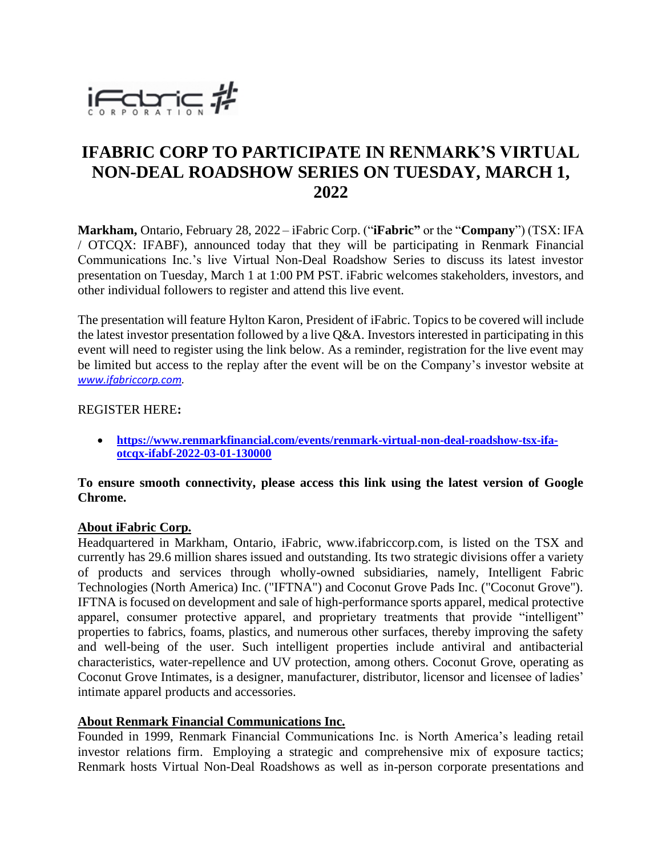

# **IFABRIC CORP TO PARTICIPATE IN RENMARK'S VIRTUAL NON-DEAL ROADSHOW SERIES ON TUESDAY, MARCH 1, 2022**

**Markham,** Ontario, February 28, 2022 – iFabric Corp. ("**iFabric"** or the "**Company**") (TSX: IFA / OTCQX: IFABF), announced today that they will be participating in Renmark Financial Communications Inc.'s live Virtual Non-Deal Roadshow Series to discuss its latest investor presentation on Tuesday, March 1 at 1:00 PM PST. iFabric welcomes stakeholders, investors, and other individual followers to register and attend this live event.

The presentation will feature Hylton Karon, President of iFabric. Topics to be covered will include the latest investor presentation followed by a live Q&A. Investors interested in participating in this event will need to register using the link below. As a reminder, registration for the live event may be limited but access to the replay after the event will be on the Company's investor website at *[www.ifabriccorp.com.](http://www.ifabriccorp.com/)*

#### REGISTER HERE**:**

• **[https://www.renmarkfinancial.com/events/renmark-virtual-non-deal-roadshow-tsx-ifa](https://www.renmarkfinancial.com/events/renmark-virtual-non-deal-roadshow-tsx-ifa-otcqx-ifabf-2022-03-01-130000)[otcqx-ifabf-2022-03-01-130000](https://www.renmarkfinancial.com/events/renmark-virtual-non-deal-roadshow-tsx-ifa-otcqx-ifabf-2022-03-01-130000)**

### **To ensure smooth connectivity, please access this link using the latest version of Google Chrome.**

### **About iFabric Corp.**

Headquartered in Markham, Ontario, iFabric, www.ifabriccorp.com, is listed on the TSX and currently has 29.6 million shares issued and outstanding. Its two strategic divisions offer a variety of products and services through wholly-owned subsidiaries, namely, Intelligent Fabric Technologies (North America) Inc. ("IFTNA") and Coconut Grove Pads Inc. ("Coconut Grove"). IFTNA is focused on development and sale of high-performance sports apparel, medical protective apparel, consumer protective apparel, and proprietary treatments that provide "intelligent" properties to fabrics, foams, plastics, and numerous other surfaces, thereby improving the safety and well-being of the user. Such intelligent properties include antiviral and antibacterial characteristics, water-repellence and UV protection, among others. Coconut Grove, operating as Coconut Grove Intimates, is a designer, manufacturer, distributor, licensor and licensee of ladies' intimate apparel products and accessories.

#### **About Renmark Financial Communications Inc.**

Founded in 1999, Renmark Financial Communications Inc. is North America's leading retail investor relations firm. Employing a strategic and comprehensive mix of exposure tactics; Renmark hosts Virtual Non-Deal Roadshows as well as in-person corporate presentations and